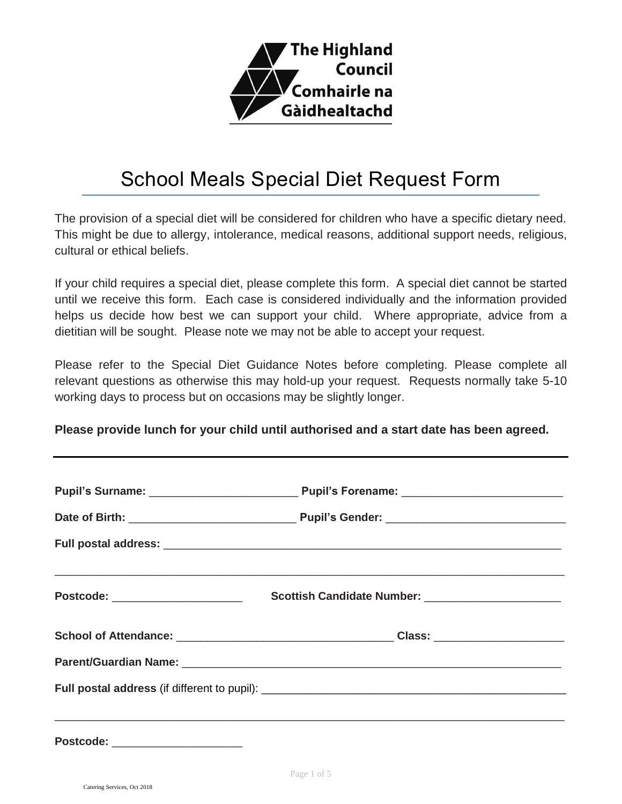

# School Meals Special Diet Request Form

The provision of a special diet will be considered for children who have a specific dietary need. This might be due to allergy, intolerance, medical reasons, additional support needs, religious, cultural or ethical beliefs.

If your child requires a special diet, please complete this form. A special diet cannot be started until we receive this form. Each case is considered individually and the information provided helps us decide how best we can support your child. Where appropriate, advice from a dietitian will be sought. Please note we may not be able to accept your request.

Please refer to the Special Diet Guidance Notes before completing. Please complete all relevant questions as otherwise this may hold-up your request. Requests normally take 5-10 working days to process but on occasions may be slightly longer.

**Please provide lunch for your child until authorised and a start date has been agreed.**

| <b>Postcode:</b> |  |  |
|------------------|--|--|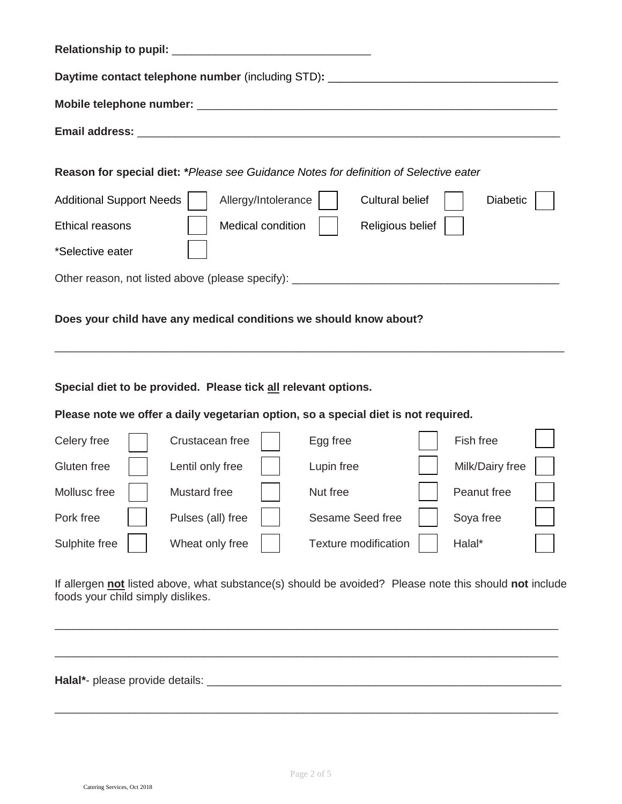| Daytime contact telephone number (including STD): ______________________________      |  |                     |                        |                 |  |
|---------------------------------------------------------------------------------------|--|---------------------|------------------------|-----------------|--|
|                                                                                       |  |                     |                        |                 |  |
|                                                                                       |  |                     |                        |                 |  |
| Reason for special diet: *Please see Guidance Notes for definition of Selective eater |  |                     |                        |                 |  |
| <b>Additional Support Needs</b>                                                       |  | Allergy/Intolerance | <b>Cultural belief</b> | <b>Diabetic</b> |  |
| <b>Ethical reasons</b>                                                                |  | Medical condition   | Religious belief       |                 |  |
| *Selective eater                                                                      |  |                     |                        |                 |  |
| Other reason, not listed above (please specify): _______________________________      |  |                     |                        |                 |  |
|                                                                                       |  |                     |                        |                 |  |

### **Does your child have any medical conditions we should know about?**

**Special diet to be provided. Please tick all relevant options.** 

## **Please note we offer a daily vegetarian option, so a special diet is not required.**

| Celery free   | Crustacean free   | Egg free                    | Fish free       |  |
|---------------|-------------------|-----------------------------|-----------------|--|
| Gluten free   | Lentil only free  | Lupin free                  | Milk/Dairy free |  |
| Mollusc free  | Mustard free      | Nut free                    | Peanut free     |  |
| Pork free     | Pulses (all) free | Sesame Seed free            | Soya free       |  |
| Sulphite free | Wheat only free   | <b>Texture modification</b> | Halal*          |  |

\_\_\_\_\_\_\_\_\_\_\_\_\_\_\_\_\_\_\_\_\_\_\_\_\_\_\_\_\_\_\_\_\_\_\_\_\_\_\_\_\_\_\_\_\_\_\_\_\_\_\_\_\_\_\_\_\_\_\_\_\_\_\_\_\_\_\_\_\_\_\_\_\_\_\_\_\_\_\_\_\_\_

If allergen **not** listed above, what substance(s) should be avoided? Please note this should **not** include foods your child simply dislikes.

\_\_\_\_\_\_\_\_\_\_\_\_\_\_\_\_\_\_\_\_\_\_\_\_\_\_\_\_\_\_\_\_\_\_\_\_\_\_\_\_\_\_\_\_\_\_\_\_\_\_\_\_\_\_\_\_\_\_\_\_\_\_\_\_\_\_\_\_\_\_\_\_\_\_\_\_\_\_\_\_\_

\_\_\_\_\_\_\_\_\_\_\_\_\_\_\_\_\_\_\_\_\_\_\_\_\_\_\_\_\_\_\_\_\_\_\_\_\_\_\_\_\_\_\_\_\_\_\_\_\_\_\_\_\_\_\_\_\_\_\_\_\_\_\_\_\_\_\_\_\_\_\_\_\_\_\_\_\_\_\_\_\_

\_\_\_\_\_\_\_\_\_\_\_\_\_\_\_\_\_\_\_\_\_\_\_\_\_\_\_\_\_\_\_\_\_\_\_\_\_\_\_\_\_\_\_\_\_\_\_\_\_\_\_\_\_\_\_\_\_\_\_\_\_\_\_\_\_\_\_\_\_\_\_\_\_\_\_\_\_\_\_\_\_

**Halal\***- please provide details: \_\_\_\_\_\_\_\_\_\_\_\_\_\_\_\_\_\_\_\_\_\_\_\_\_\_\_\_\_\_\_\_\_\_\_\_\_\_\_\_\_\_\_\_\_\_\_\_\_\_\_\_\_\_\_\_\_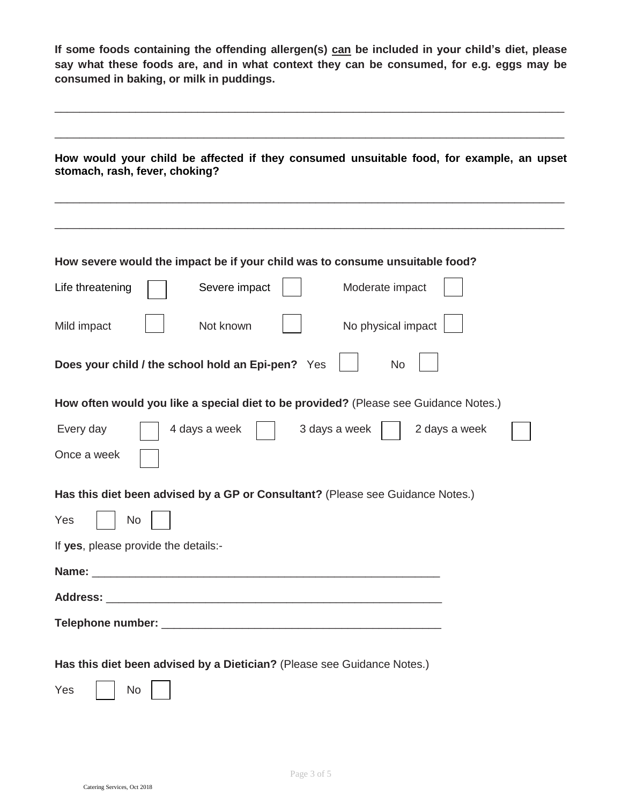**If some foods containing the offending allergen(s) can be included in your child's diet, please say what these foods are, and in what context they can be consumed, for e.g. eggs may be consumed in baking, or milk in puddings.**

\_\_\_\_\_\_\_\_\_\_\_\_\_\_\_\_\_\_\_\_\_\_\_\_\_\_\_\_\_\_\_\_\_\_\_\_\_\_\_\_\_\_\_\_\_\_\_\_\_\_\_\_\_\_\_\_\_\_\_\_\_\_\_\_\_\_\_\_\_\_\_\_\_\_\_\_\_\_\_\_\_\_

|     | stomach, rash, fever, choking?                                                       |
|-----|--------------------------------------------------------------------------------------|
|     |                                                                                      |
|     | How severe would the impact be if your child was to consume unsuitable food?         |
|     | Life threatening<br>Severe impact<br>Moderate impact                                 |
|     | Not known<br>No physical impact<br>Mild impact                                       |
|     | Does your child / the school hold an Epi-pen? Yes<br>No                              |
|     | How often would you like a special diet to be provided? (Please see Guidance Notes.) |
|     | Every day<br>4 days a week<br>3 days a week<br>2 days a week                         |
|     | Once a week                                                                          |
|     | Has this diet been advised by a GP or Consultant? (Please see Guidance Notes.)       |
| Yes | No                                                                                   |
|     | If yes, please provide the details:-                                                 |
|     |                                                                                      |
|     |                                                                                      |
|     |                                                                                      |
|     |                                                                                      |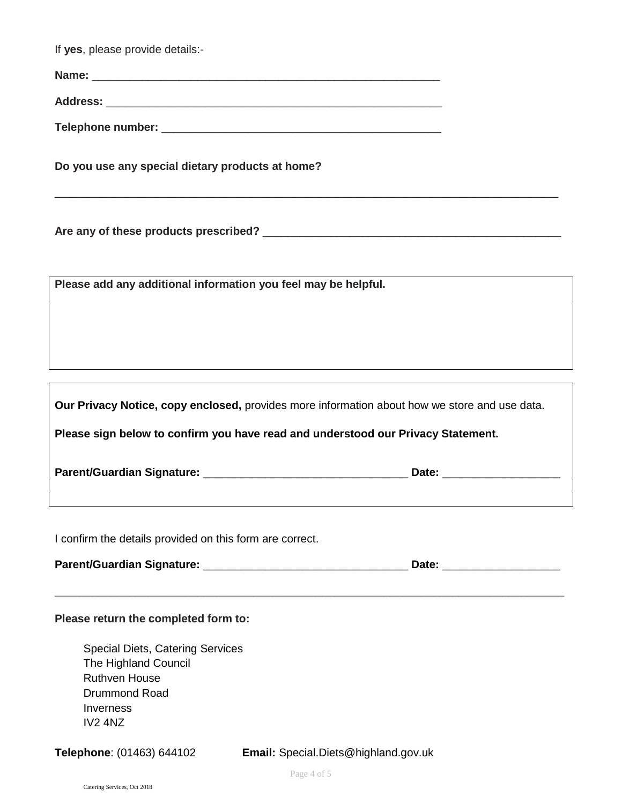| If yes, please provide details:-                                                                                                        |                                                                                               |  |
|-----------------------------------------------------------------------------------------------------------------------------------------|-----------------------------------------------------------------------------------------------|--|
|                                                                                                                                         |                                                                                               |  |
|                                                                                                                                         |                                                                                               |  |
|                                                                                                                                         |                                                                                               |  |
| Do you use any special dietary products at home?                                                                                        |                                                                                               |  |
|                                                                                                                                         |                                                                                               |  |
| Please add any additional information you feel may be helpful.                                                                          |                                                                                               |  |
|                                                                                                                                         |                                                                                               |  |
|                                                                                                                                         |                                                                                               |  |
|                                                                                                                                         | Our Privacy Notice, copy enclosed, provides more information about how we store and use data. |  |
|                                                                                                                                         | Please sign below to confirm you have read and understood our Privacy Statement.              |  |
|                                                                                                                                         |                                                                                               |  |
| I confirm the details provided on this form are correct.                                                                                |                                                                                               |  |
|                                                                                                                                         |                                                                                               |  |
| Please return the completed form to:                                                                                                    |                                                                                               |  |
| <b>Special Diets, Catering Services</b><br>The Highland Council<br><b>Ruthven House</b><br><b>Drummond Road</b><br>Inverness<br>IV2 4NZ |                                                                                               |  |
| Telephone: (01463) 644102                                                                                                               | Email: Special.Diets@highland.gov.uk                                                          |  |